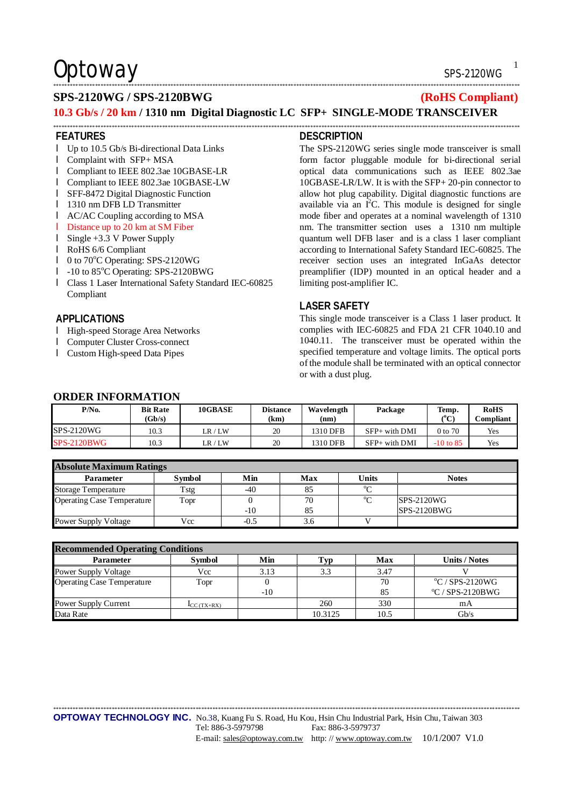# $\mathsf{Obtoway} \longrightarrow \mathsf{Sps-2120WG}$

## \*\*\*\*\*\*\*\*\*\*\*\*\*\*\*\*\*\*\*\*\*\*\*\*\*\*\*\*\*\*\*\*\*\*\*\*\*\*\*\*\*\*\*\*\*\*\*\*\*\*\*\*\*\*\*\*\*\*\*\*\*\*\*\*\*\*\*\*\*\*\*\*\*\*\*\*\*\*\*\*\*\*\*\*\*\*\*\*\*\*\*\*\*\*\*\*\*\*\*\*\*\*\*\*\*\*\*\*\*\*\*\*\*\*\*\*\*\*\*\*\*\*\*\*\*\*\*\*\*\*\*\*\*\*\*\*\*\*\*\*\*\*\*\*\*\*\*\*\*\*\*\*\*\*\*\*\*\*\*\*\*\*\*\*\*\*\*

## **SPS-2120WG / SPS-2120BWG (RoHS Compliant)**

### **10.3 Gb/s / 20 km / 1310 nm Digital Diagnostic LC SFP+ SINGLE-MODE TRANSCEIVER**  \*\*\*\*\*\*\*\*\*\*\*\*\*\*\*\*\*\*\*\*\*\*\*\*\*\*\*\*\*\*\*\*\*\*\*\*\*\*\*\*\*\*\*\*\*\*\*\*\*\*\*\*\*\*\*\*\*\*\*\*\*\*\*\*\*\*\*\*\*\*\*\*\*\*\*\*\*\*\*\*\*\*\*\*\*\*\*\*\*\*\*\*\*\*\*\*\*\*\*\*\*\*\*\*\*\*\*\*\*\*\*\*\*\*\*\*\*\*\*\*\*\*\*\*\*\*\*\*\*\*\*\*\*\*\*\*\*\*\*\*\*\*\*\*\*\*\*\*\*\*\*\*\*\*\*\*\*\*\*\*\*\*\*\*\*\*\*

#### **FEATURES**

- l Up to 10.5 Gb/s Bi-directional Data Links
- l Complaint with SFP+ MSA
- l Compliant to IEEE 802.3ae 10GBASE-LR
- l Compliant to IEEE 802.3ae 10GBASE-LW
- l SFF-8472 Digital Diagnostic Function
- l 1310 nm DFB LD Transmitter
- l AC/AC Coupling according to MSA
- l Distance up to 20 km at SM Fiber
- l Single +3.3 V Power Supply
- l RoHS 6/6 Compliant
- l 0 to 70<sup>o</sup>C Operating: SPS-2120WG
- l -10 to 85°C Operating: SPS-2120BWG
- l Class 1 Laser International Safety Standard IEC-60825 Compliant

### **APPLICATIONS**

- l High-speed Storage Area Networks
- l Computer Cluster Cross-connect
- l Custom High-speed Data Pipes

#### **DESCRIPTION**

The SPS-2120WG series single mode transceiver is small form factor pluggable module for bi-directional serial optical data communications such as IEEE 802.3ae 10GBASE-LR/LW. It is with the SFP+ 20-pin connector to allow hot plug capability. Digital diagnostic functions are available via an  $I^2C$ . This module is designed for single mode fiber and operates at a nominal wavelength of 1310 nm. The transmitter section uses a 1310 nm multiple quantum well DFB laser and is a class 1 laser compliant according to International Safety Standard IEC-60825. The receiver section uses an integrated InGaAs detector preamplifier (IDP) mounted in an optical header and a limiting post-amplifier IC.

### **LASER SAFETY**

This single mode transceiver is a Class 1 laser product. It complies with IEC-60825 and FDA 21 CFR 1040.10 and 1040.11. The transceiver must be operated within the specified temperature and voltage limits. The optical ports of the module shall be terminated with an optical connector or with a dust plug.

## **ORDER INFORMATION**

| $\sigma$           |                           |         |                         |                    |                 |               |                          |  |  |  |
|--------------------|---------------------------|---------|-------------------------|--------------------|-----------------|---------------|--------------------------|--|--|--|
| P/No.              | <b>Bit Rate</b><br>(Gb/s) | 10GBASE | <b>Distance</b><br>(km) | Wavelength<br>(nm) | Package         | Temp.<br>(°C) | <b>RoHS</b><br>Compliant |  |  |  |
| SPS-2120WG         | 10.3                      | LR / LW | 20                      | 1310 DFB           | $SFP+$ with DMI | $0$ to $70$   | Yes                      |  |  |  |
| <b>SPS-2120BWG</b> | 10.3                      | LR / LW | 20                      | 1310 DFB           | $SFP+$ with DMI | $-10$ to 85   | Yes                      |  |  |  |

| <b>Absolute Maximum Ratings</b>   |               |        |     |          |               |  |  |  |
|-----------------------------------|---------------|--------|-----|----------|---------------|--|--|--|
| <b>Parameter</b>                  | <b>Symbol</b> | Min    | Max | Units    | <b>Notes</b>  |  |  |  |
| <b>Storage Temperature</b>        | Tstg          | -40    |     | $\sim$   |               |  |  |  |
| <b>Operating Case Temperature</b> | Topr          |        | 70  | $\Omega$ | SPS-2120WG    |  |  |  |
|                                   |               | $-10$  | 85  |          | $SPS-2120BWG$ |  |  |  |
| Power Supply Voltage              | Vcc           | $-0.5$ |     |          |               |  |  |  |

| <b>Recommended Operating Conditions</b> |               |       |         |      |                         |  |  |  |
|-----------------------------------------|---------------|-------|---------|------|-------------------------|--|--|--|
| <b>Parameter</b>                        | <b>Symbol</b> | Min   | l`yp    | Max  | <b>Units / Notes</b>    |  |  |  |
| Power Supply Voltage                    | Vcc           | 3.13  | 3.3     | 3.47 |                         |  |  |  |
| <b>Operating Case Temperature</b>       | Topr          |       |         | 70   | $\rm{°C}$ / SPS-2120WG  |  |  |  |
|                                         |               | $-10$ |         | 85   | $\rm{°C}$ / SPS-2120BWG |  |  |  |
| Power Supply Current                    | $LC(TX+RX)$   |       | 260     | 330  | mA                      |  |  |  |
| Data Rate                               |               |       | 10.3125 | 10.5 | Gb/s                    |  |  |  |

\*\*\*\*\*\*\*\*\*\*\*\*\*\*\*\*\*\*\*\*\*\*\*\*\*\*\*\*\*\*\*\*\*\*\*\*\*\*\*\*\*\*\*\*\*\*\*\*\*\*\*\*\*\*\*\*\*\*\*\*\*\*\*\*\*\*\*\*\*\*\*\*\*\*\*\*\*\*\*\*\*\*\*\*\*\*\*\*\*\*\*\*\*\*\*\*\*\*\*\*\*\*\*\*\*\*\*\*\*\*\*\*\*\*\*\*\*\*\*\*\*\*\*\*\*\*\*\*\*\*\*\*\*\*\*\*\*\*\*\*\*\*\*\*\*\*\*\*\*\*\*\*\*\*\*\*\*\*\*\*\*\*\*\*\*\*\*

**OPTOWAY TECHNOLOGY INC.** No.38, Kuang Fu S. Road, Hu Kou, Hsin Chu Industrial Park, Hsin Chu, Taiwan 303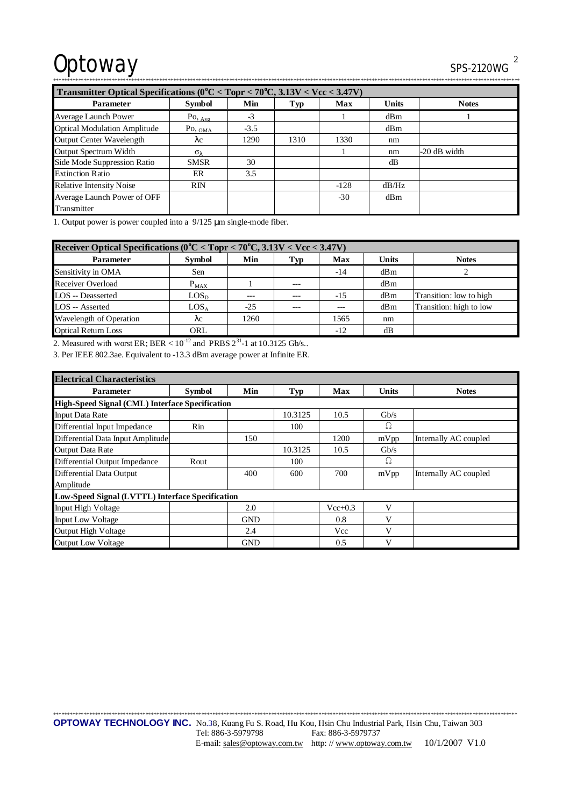# Optoway SPS-2120WG

| Transmitter Optical Specifications ( $0^{\circ}$ C < Topr < 70 $^{\circ}$ C, 3.13V < Vcc < 3.47V) |                                        |        |      |            |       |                |  |
|---------------------------------------------------------------------------------------------------|----------------------------------------|--------|------|------------|-------|----------------|--|
| <b>Parameter</b>                                                                                  | Symbol                                 | Min    | Typ  | <b>Max</b> | Units | <b>Notes</b>   |  |
| <b>Average Launch Power</b>                                                                       | $P_{\text{O}, \underline{\text{Avg}}}$ | $-3$   |      |            | dBm   |                |  |
| <b>Optical Modulation Amplitude</b>                                                               | $Po, o_{MA}$                           | $-3.5$ |      |            | dBm   |                |  |
| <b>Output Center Wavelength</b>                                                                   | $\lambda c$                            | 1290   | 1310 | 1330       | nm    |                |  |
| Output Spectrum Width                                                                             | $\sigma_{\lambda}$                     |        |      |            | nm    | $-20$ dB width |  |
| Side Mode Suppression Ratio                                                                       | <b>SMSR</b>                            | 30     |      |            | dB    |                |  |
| <b>Extinction Ratio</b>                                                                           | ER                                     | 3.5    |      |            |       |                |  |
| <b>Relative Intensity Noise</b>                                                                   | $\overline{RN}$                        |        |      | $-128$     | dB/Hz |                |  |
| Average Launch Power of OFF                                                                       |                                        |        |      | $-30$      | dBm   |                |  |
| Transmitter                                                                                       |                                        |        |      |            |       |                |  |

1. Output power is power coupled into a 9/125 μm single-mode fiber.

| Receiver Optical Specifications ( $0^{\circ}$ C < Topr < 70 $^{\circ}$ C, 3.13V < Vcc < 3.47V) |                  |       |       |       |              |                         |  |
|------------------------------------------------------------------------------------------------|------------------|-------|-------|-------|--------------|-------------------------|--|
| <b>Parameter</b>                                                                               | <b>Symbol</b>    | Min   | Typ   | Max   | <b>Units</b> | <b>Notes</b>            |  |
| Sensitivity in OMA                                                                             | Sen              |       |       | $-14$ | dBm          |                         |  |
| Receiver Overload                                                                              | $P_{MAX}$        |       | $---$ |       | dBm          |                         |  |
| <b>LOS</b> -- Deasserted                                                                       | LOS <sub>D</sub> |       | ---   | $-15$ | dBm          | Transition: low to high |  |
| LOS -- Asserted                                                                                | LOS <sub>A</sub> | $-25$ | $---$ | ---   | dBm          | Transition: high to low |  |
| Wavelength of Operation                                                                        | $\lambda c$      | 1260  |       | 1565  | nm           |                         |  |
| <b>Optical Return Loss</b>                                                                     | ORL              |       |       | $-12$ | dВ           |                         |  |

2. Measured with worst ER; BER  $< 10^{-12}$  and PRBS  $2^{31}$ -1 at 10.3125 Gb/s..

3. Per IEEE 802.3ae. Equivalent to -13.3 dBm average power at Infinite ER.

| <b>Electrical Characteristics</b>                |               |            |         |            |              |                       |  |  |
|--------------------------------------------------|---------------|------------|---------|------------|--------------|-----------------------|--|--|
| <b>Parameter</b>                                 | <b>Symbol</b> | Min        | Typ     | <b>Max</b> | <b>Units</b> | <b>Notes</b>          |  |  |
| High-Speed Signal (CML) Interface Specification  |               |            |         |            |              |                       |  |  |
| <b>Input Data Rate</b>                           |               |            | 10.3125 | 10.5       | Gb/s         |                       |  |  |
| Differential Input Impedance                     | Rin           |            | 100     |            | Ω            |                       |  |  |
| Differential Data Input Amplitude                |               | 150        |         | 1200       | mVpp         | Internally AC coupled |  |  |
| <b>Output Data Rate</b>                          |               |            | 10.3125 | 10.5       | Gb/s         |                       |  |  |
| Differential Output Impedance                    | Rout          |            | 100     |            | Ω            |                       |  |  |
| Differential Data Output                         |               | 400        | 600     | 700        | mVpp         | Internally AC coupled |  |  |
| Amplitude                                        |               |            |         |            |              |                       |  |  |
| Low-Speed Signal (LVTTL) Interface Specification |               |            |         |            |              |                       |  |  |
| <b>Input High Voltage</b>                        |               | 2.0        |         | $Vec+0.3$  | V            |                       |  |  |
| <b>Input Low Voltage</b>                         |               | <b>GND</b> |         | 0.8        | V            |                       |  |  |
| <b>Output High Voltage</b>                       |               | 2.4        |         | Vcc        | V            |                       |  |  |
| <b>Output Low Voltage</b>                        |               | <b>GND</b> |         | 0.5        | V            |                       |  |  |

\*\*\*\*\*\*\*\*\*\*\*\*\*\*\*\*\*\*\*\*\*\*\*\*\*\*\*\*\*\*\*\*\*\*\*\*\*\*\*\*\*\*\*\*\*\*\*\*\*\*\*\*\*\*\*\*\*\*\*\*\*\*\*\*\*\*\*\*\*\*\*\*\*\*\*\*\*\*\*\*\*\*\*\*\*\*\*\*\*\*\*\*\*\*\*\*\*\*\*\*\*\*\*\*\*\*\*\*\*\*\*\*\*\*\*\*\*\*\*\*\*\*\*\*\*\*\*\*\*\*\*\*\*\*\*\*\*\*\*\*\*\*\*\*\*\*\*\*\*\*\*\*\*\*\*\*\*\*\*\*\*\*\*\*\*\*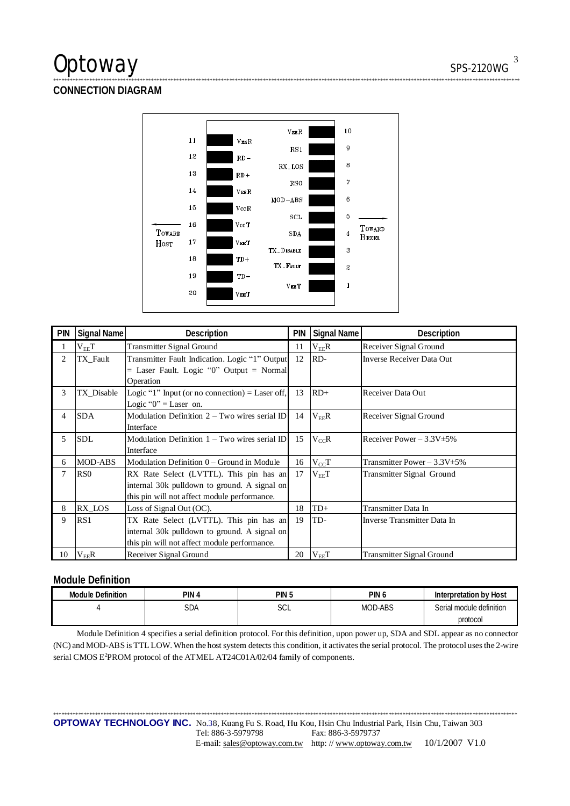# Optoway SPS-2120WG

## **CONNECTION DIAGRAM**



\*\*\*\*\*\*\*\*\*\*\*\*\*\*\*\*\*\*\*\*\*\*\*\*\*\*\*\*\*\*\*\*\*\*\*\*\*\*\*\*\*\*\*\*\*\*\*\*\*\*\*\*\*\*\*\*\*\*\*\*\*\*\*\*\*\*\*\*\*\*\*\*\*\*\*\*\*\*\*\*\*\*\*\*\*\*\*\*\*\*\*\*\*\*\*\*\*\*\*\*\*\*\*\*\*\*\*\*\*\*\*\*\*\*\*\*\*\*\*\*\*\*\*\*\*\*\*\*\*\*\*\*\*\*\*\*\*\*\*\*\*\*\*\*\*\*\*\*\*\*\*\*\*\*\*\*\*\*\*\*\*\*\*\*\*\*\*

| <b>PIN</b> | Signal Name     | Description                                     | <b>PIN</b> | Signal Name | Description                       |
|------------|-----------------|-------------------------------------------------|------------|-------------|-----------------------------------|
| 1          | $\rm V_{EE}T$   | <b>Transmitter Signal Ground</b>                | 11         | $V_{EE}R$   | Receiver Signal Ground            |
| 2          | TX_Fault        | Transmitter Fault Indication. Logic "1" Output  | 12         | RD-         | <b>Inverse Receiver Data Out</b>  |
|            |                 | $=$ Laser Fault. Logic "0" Output $=$ Normal    |            |             |                                   |
|            |                 | Operation                                       |            |             |                                   |
| 3          | TX Disable      | Logic "1" Input (or no connection) = Laser off, | 13         | $RD+$       | Receiver Data Out                 |
|            |                 | Logic " $0$ " = Laser on.                       |            |             |                                   |
| 4          | <b>SDA</b>      | Modulation Definition $2 - Two$ wires serial ID | 14         | $V_{EF}R$   | Receiver Signal Ground            |
|            |                 | Interface                                       |            |             |                                   |
| 5          | <b>SDL</b>      | Modulation Definition $1 - Two$ wires serial ID | 15         | $V_{CC}R$   | Receiver Power $-3.3V \pm 5\%$    |
|            |                 | Interface                                       |            |             |                                   |
| 6          | <b>MOD-ABS</b>  | Modulation Definition 0 – Ground in Module      | 16         | $V_{CC}T$   | Transmitter Power $-3.3V \pm 5\%$ |
| 7          | RS <sub>0</sub> | RX Rate Select (LVTTL). This pin has an         | 17         | $V_{EE}T$   | Transmitter Signal Ground         |
|            |                 | internal 30k pulldown to ground. A signal on    |            |             |                                   |
|            |                 | this pin will not affect module performance.    |            |             |                                   |
| 8          | RX_LOS          | Loss of Signal Out (OC).                        | 18         | $TD+$       | Transmitter Data In               |
| 9          | RS1             | TX Rate Select (LVTTL). This pin has an         | 19         | TD-         | Inverse Transmitter Data In       |
|            |                 | internal 30k pulldown to ground. A signal on    |            |             |                                   |
|            |                 | this pin will not affect module performance.    |            |             |                                   |
| 10         | $V_{EE}R$       | Receiver Signal Ground                          | 20         | $V_{EE}T$   | <b>Transmitter Signal Ground</b>  |

### **Module Definition**

| <b>Module Definition</b> | pin<br>൧ | <b>PIN</b><br>ل. | PIN U          | Interpretation by Host   |
|--------------------------|----------|------------------|----------------|--------------------------|
|                          | SDA      | $\sim$<br>ししに    | <b>MOD-ABS</b> | Serial module definition |
|                          |          |                  |                | protocol                 |

Module Definition 4 specifies a serial definition protocol. For this definition, upon power up, SDA and SDL appear as no connector (NC) and MOD-ABS is TTL LOW. When the host system detects this condition, it activates the serial protocol. The protocol uses the 2-wire serial CMOS E<sup>2</sup>PROM protocol of the ATMEL AT24C01A/02/04 family of components.

\*\*\*\*\*\*\*\*\*\*\*\*\*\*\*\*\*\*\*\*\*\*\*\*\*\*\*\*\*\*\*\*\*\*\*\*\*\*\*\*\*\*\*\*\*\*\*\*\*\*\*\*\*\*\*\*\*\*\*\*\*\*\*\*\*\*\*\*\*\*\*\*\*\*\*\*\*\*\*\*\*\*\*\*\*\*\*\*\*\*\*\*\*\*\*\*\*\*\*\*\*\*\*\*\*\*\*\*\*\*\*\*\*\*\*\*\*\*\*\*\*\*\*\*\*\*\*\*\*\*\*\*\*\*\*\*\*\*\*\*\*\*\*\*\*\*\*\*\*\*\*\*\*\*\*\*\*\*\*\*\*\*\*\*\*\*